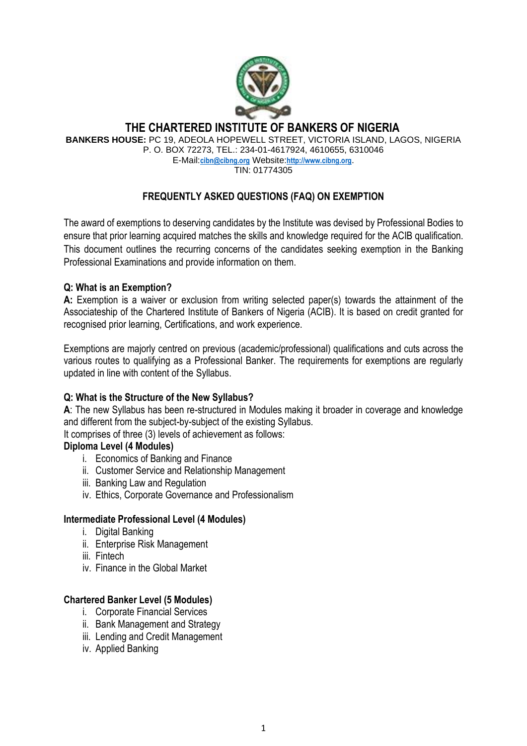

## **THE CHARTERED INSTITUTE OF BANKERS OF NIGERIA**

**BANKERS HOUSE:** PC 19, ADEOLA HOPEWELL STREET, VICTORIA ISLAND, LAGOS, NIGERIA

P. O. BOX 72273, TEL.: 234-01-4617924, 4610655, 6310046 E-Mail:**[cibn@cibng.org](mailto:cibn@cibng.org)** Website:**[http://www.cibng.org](http://www.cibng.org/)**.

TIN: 01774305

## **FREQUENTLY ASKED QUESTIONS (FAQ) ON EXEMPTION**

The award of exemptions to deserving candidates by the Institute was devised by Professional Bodies to ensure that prior learning acquired matches the skills and knowledge required for the ACIB qualification. This document outlines the recurring concerns of the candidates seeking exemption in the Banking Professional Examinations and provide information on them.

## **Q: What is an Exemption?**

**A:** Exemption is a waiver or exclusion from writing selected paper(s) towards the attainment of the Associateship of the Chartered Institute of Bankers of Nigeria (ACIB). It is based on credit granted for recognised prior learning, Certifications, and work experience.

Exemptions are majorly centred on previous (academic/professional) qualifications and cuts across the various routes to qualifying as a Professional Banker. The requirements for exemptions are regularly updated in line with content of the Syllabus.

## **Q: What is the Structure of the New Syllabus?**

**A**: The new Syllabus has been re-structured in Modules making it broader in coverage and knowledge and different from the subject-by-subject of the existing Syllabus.

It comprises of three (3) levels of achievement as follows:

## **Diploma Level (4 Modules)**

- i. Economics of Banking and Finance
- ii. Customer Service and Relationship Management
- iii. Banking Law and Regulation
- iv. Ethics, Corporate Governance and Professionalism

## **Intermediate Professional Level (4 Modules)**

- i. Digital Banking
- ii. Enterprise Risk Management
- iii. Fintech
- iv. Finance in the Global Market

## **Chartered Banker Level (5 Modules)**

- i. Corporate Financial Services
- ii. Bank Management and Strategy
- iii. Lending and Credit Management
- iv. Applied Banking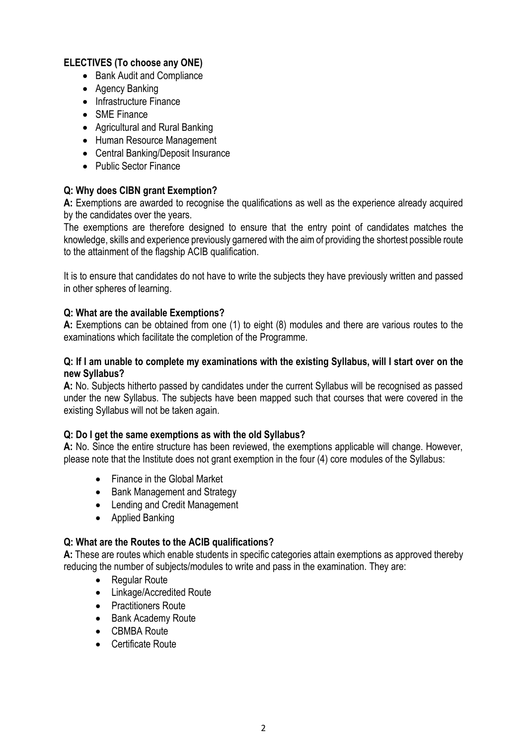#### **ELECTIVES (To choose any ONE)**

- Bank Audit and Compliance
- Agency Banking
- Infrastructure Finance
- SMF Finance
- Agricultural and Rural Banking
- Human Resource Management
- Central Banking/Deposit Insurance
- Public Sector Finance

#### **Q: Why does CIBN grant Exemption?**

**A:** Exemptions are awarded to recognise the qualifications as well as the experience already acquired by the candidates over the years.

The exemptions are therefore designed to ensure that the entry point of candidates matches the knowledge, skills and experience previously garnered with the aim of providing the shortest possible route to the attainment of the flagship ACIB qualification.

It is to ensure that candidates do not have to write the subjects they have previously written and passed in other spheres of learning.

#### **Q: What are the available Exemptions?**

**A:** Exemptions can be obtained from one (1) to eight (8) modules and there are various routes to the examinations which facilitate the completion of the Programme.

#### **Q: If I am unable to complete my examinations with the existing Syllabus, will I start over on the new Syllabus?**

**A:** No. Subjects hitherto passed by candidates under the current Syllabus will be recognised as passed under the new Syllabus. The subjects have been mapped such that courses that were covered in the existing Syllabus will not be taken again.

#### **Q: Do I get the same exemptions as with the old Syllabus?**

**A:** No. Since the entire structure has been reviewed, the exemptions applicable will change. However, please note that the Institute does not grant exemption in the four (4) core modules of the Syllabus:

- Finance in the Global Market
- Bank Management and Strategy
- Lending and Credit Management
- Applied Banking

#### **Q: What are the Routes to the ACIB qualifications?**

**A:** These are routes which enable students in specific categories attain exemptions as approved thereby reducing the number of subjects/modules to write and pass in the examination. They are:

- Regular Route
- Linkage/Accredited Route
- Practitioners Route
- Bank Academy Route
- CBMBA Route
- Certificate Route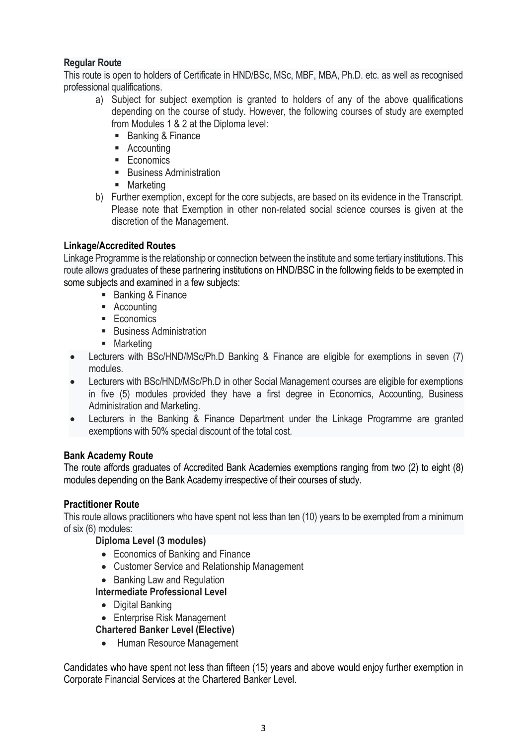## **Regular Route**

This route is open to holders of Certificate in HND/BSc, MSc, MBF, MBA, Ph.D. etc. as well as recognised professional qualifications.

- a) Subject for subject exemption is granted to holders of any of the above qualifications depending on the course of study. However, the following courses of study are exempted from Modules 1 & 2 at the Diploma level:
	- Banking & Finance
	- Accounting
	- Economics
	- Business Administration
	- Marketing
- b) Further exemption, except for the core subjects, are based on its evidence in the Transcript. Please note that Exemption in other non-related social science courses is given at the discretion of the Management.

### **Linkage/Accredited Routes**

Linkage Programme is the relationship or connection between the institute and some tertiary institutions. This route allows graduates of these partnering institutions on HND/BSC in the following fields to be exempted in some subjects and examined in a few subjects:

- Banking & Finance
- Accounting
- Economics
- Business Administration
- Marketing
- Lecturers with BSc/HND/MSc/Ph.D Banking & Finance are eligible for exemptions in seven (7) modules.
- Lecturers with BSc/HND/MSc/Ph.D in other Social Management courses are eligible for exemptions in five (5) modules provided they have a first degree in Economics, Accounting, Business Administration and Marketing.
- Lecturers in the Banking & Finance Department under the Linkage Programme are granted exemptions with 50% special discount of the total cost.

#### **Bank Academy Route**

The route affords graduates of Accredited Bank Academies exemptions ranging from two (2) to eight (8) modules depending on the Bank Academy irrespective of their courses of study.

#### **Practitioner Route**

This route allows practitioners who have spent not less than ten (10) years to be exempted from a minimum of six (6) modules:

#### **Diploma Level (3 modules)**

- Economics of Banking and Finance
- Customer Service and Relationship Management
- Banking Law and Regulation

## **Intermediate Professional Level**

- Digital Banking
- Enterprise Risk Management

**Chartered Banker Level (Elective)**

• Human Resource Management

Candidates who have spent not less than fifteen (15) years and above would enjoy further exemption in Corporate Financial Services at the Chartered Banker Level.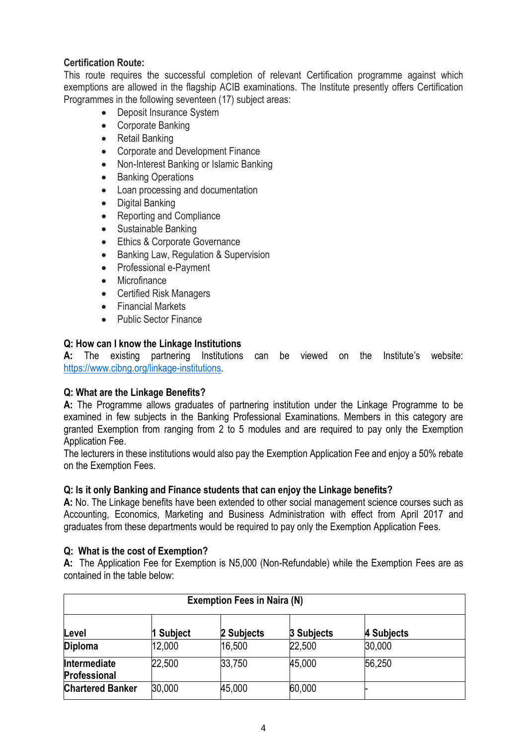## **Certification Route:**

This route requires the successful completion of relevant Certification programme against which exemptions are allowed in the flagship ACIB examinations. The Institute presently offers Certification Programmes in the following seventeen (17) subject areas:

- Deposit Insurance System
- Corporate Banking
- Retail Banking
- Corporate and Development Finance
- Non-Interest Banking or Islamic Banking
- **Banking Operations**
- Loan processing and documentation
- Digital Banking
- Reporting and Compliance
- Sustainable Banking
- Ethics & Corporate Governance
- Banking Law, Regulation & Supervision
- Professional e-Payment
- Microfinance
- Certified Risk Managers
- Financial Markets
- Public Sector Finance

## **Q: How can I know the Linkage Institutions**

**A:** The existing partnering Institutions can be viewed on the Institute's website: [https://www.cibng.org/linkage-institutions.](https://www.cibng.org/linkage-institutions)

#### **Q: What are the Linkage Benefits?**

**A:** The Programme allows graduates of partnering institution under the Linkage Programme to be examined in few subjects in the Banking Professional Examinations. Members in this category are granted Exemption from ranging from 2 to 5 modules and are required to pay only the Exemption Application Fee.

The lecturers in these institutions would also pay the Exemption Application Fee and enjoy a 50% rebate on the Exemption Fees.

#### **Q: Is it only Banking and Finance students that can enjoy the Linkage benefits?**

**A:** No. The Linkage benefits have been extended to other social management science courses such as Accounting, Economics, Marketing and Business Administration with effect from April 2017 and graduates from these departments would be required to pay only the Exemption Application Fees.

#### **Q: What is the cost of Exemption?**

**A:** The Application Fee for Exemption is N5,000 (Non-Refundable) while the Exemption Fees are as contained in the table below:

| <b>Exemption Fees in Naira (N)</b> |           |                   |            |            |  |
|------------------------------------|-----------|-------------------|------------|------------|--|
| Level                              | 1 Subject | <b>2 Subjects</b> | 3 Subjects | 4 Subjects |  |
| <b>Diploma</b>                     | 12,000    | 16,500            | 22,500     | 30,000     |  |
| Intermediate<br>Professional       | 22,500    | 33,750            | 45,000     | 56,250     |  |
| <b>Chartered Banker</b>            | 30,000    | 45,000            | 60,000     |            |  |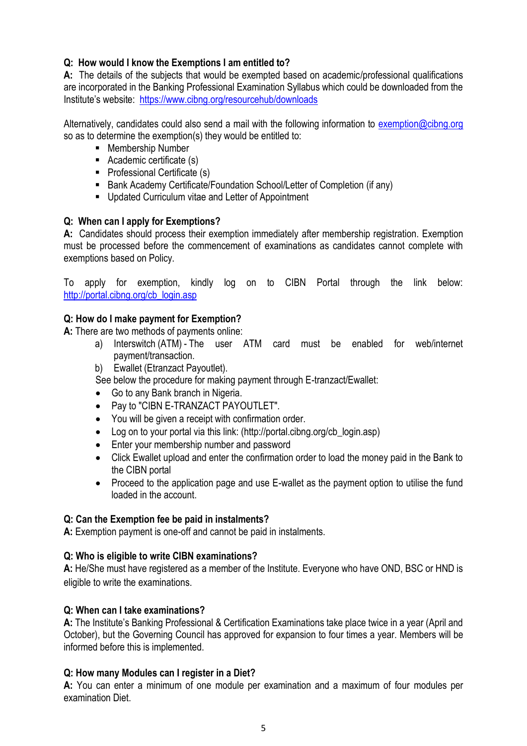## **Q: How would I know the Exemptions I am entitled to?**

**A:** The details of the subjects that would be exempted based on academic/professional qualifications are incorporated in the Banking Professional Examination Syllabus which could be downloaded from the Institute's website: <https://www.cibng.org/resourcehub/downloads>

Alternatively, candidates could also send a mail with the following information to [exemption@cibng.org](mailto:exemption@cibng.org) so as to determine the exemption(s) they would be entitled to:

- Membership Number
- Academic certificate (s)
- Professional Certificate (s)
- Bank Academy Certificate/Foundation School/Letter of Completion (if any)
- Updated Curriculum vitae and Letter of Appointment

### **Q: When can I apply for Exemptions?**

**A:** Candidates should process their exemption immediately after membership registration. Exemption must be processed before the commencement of examinations as candidates cannot complete with exemptions based on Policy.

To apply for exemption, kindly log on to CIBN Portal through the link below: [http://portal.cibng.org/cb\\_login.asp](http://portal.cibng.org/cb_login.asp) 

### **Q: How do I make payment for Exemption?**

**A:** There are two methods of payments online:

- a) Interswitch (ATM) The user ATM card must be enabled for web/internet payment/transaction.
- b) Ewallet (Etranzact Payoutlet).

See below the procedure for making payment through E-tranzact/Ewallet:

- Go to any Bank branch in Nigeria.
- Pay to "CIBN E-TRANZACT PAYOUTLET".
- You will be given a receipt with confirmation order.
- Log on to your portal via this link: (http://portal.cibng.org/cb\_login.asp)
- Enter your membership number and password
- Click Ewallet upload and enter the confirmation order to load the money paid in the Bank to the CIBN portal
- Proceed to the application page and use E-wallet as the payment option to utilise the fund loaded in the account.

#### **Q: Can the Exemption fee be paid in instalments?**

**A:** Exemption payment is one-off and cannot be paid in instalments.

#### **Q: Who is eligible to write CIBN examinations?**

**A:** He/She must have registered as a member of the Institute. Everyone who have OND, BSC or HND is eligible to write the examinations.

#### **Q: When can I take examinations?**

**A:** The Institute's Banking Professional & Certification Examinations take place twice in a year (April and October), but the Governing Council has approved for expansion to four times a year. Members will be informed before this is implemented.

#### **Q: How many Modules can I register in a Diet?**

**A:** You can enter a minimum of one module per examination and a maximum of four modules per examination Diet.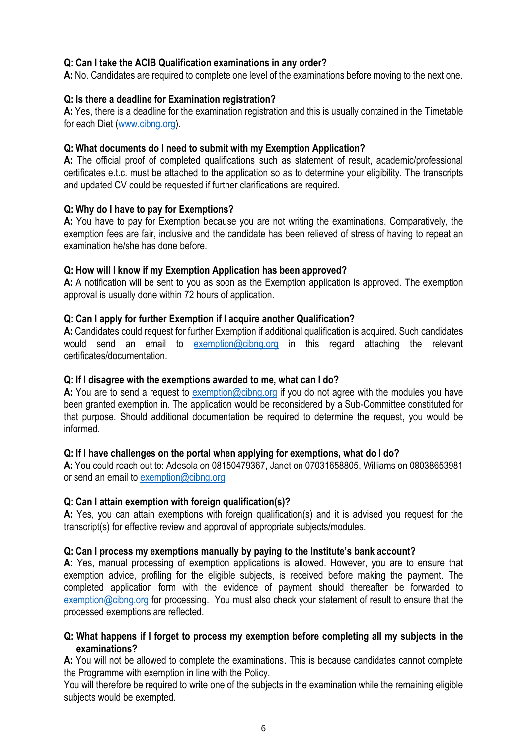#### **Q: Can I take the ACIB Qualification examinations in any order?**

**A:** No. Candidates are required to complete one level of the examinations before moving to the next one.

#### **Q: Is there a deadline for Examination registration?**

**A:** Yes, there is a deadline for the examination registration and this is usually contained in the Timetable for each Diet [\(www.cibng.org\)](http://www.cibng.org/).

#### **Q: What documents do I need to submit with my Exemption Application?**

**A:** The official proof of completed qualifications such as statement of result, academic/professional certificates e.t.c. must be attached to the application so as to determine your eligibility. The transcripts and updated CV could be requested if further clarifications are required.

#### **Q: Why do I have to pay for Exemptions?**

**A:** You have to pay for Exemption because you are not writing the examinations. Comparatively, the exemption fees are fair, inclusive and the candidate has been relieved of stress of having to repeat an examination he/she has done before.

#### **Q: How will I know if my Exemption Application has been approved?**

**A:** A notification will be sent to you as soon as the Exemption application is approved. The exemption approval is usually done within 72 hours of application.

#### **Q: Can I apply for further Exemption if I acquire another Qualification?**

**A:** Candidates could request for further Exemption if additional qualification is acquired. Such candidates would send an email to [exemption@cibng.org](mailto:exemption@cibng.org) in this regard attaching the relevant certificates/documentation.

#### **Q: If I disagree with the exemptions awarded to me, what can I do?**

A: You are to send a request to [exemption@cibng.org](mailto:exemption@cibng.org) if you do not agree with the modules you have been granted exemption in. The application would be reconsidered by a Sub-Committee constituted for that purpose. Should additional documentation be required to determine the request, you would be informed.

#### **Q: If I have challenges on the portal when applying for exemptions, what do I do?**

**A:** You could reach out to: Adesola on 08150479367, Janet on 07031658805, Williams on 08038653981 or send an email to [exemption@cibng.org](mailto:exemption@cibng.org)

#### **Q: Can I attain exemption with foreign qualification(s)?**

**A:** Yes, you can attain exemptions with foreign qualification(s) and it is advised you request for the transcript(s) for effective review and approval of appropriate subjects/modules.

#### **Q: Can I process my exemptions manually by paying to the Institute's bank account?**

**A:** Yes, manual processing of exemption applications is allowed. However, you are to ensure that exemption advice, profiling for the eligible subjects, is received before making the payment. The completed application form with the evidence of payment should thereafter be forwarded to [exemption@cibng.org](mailto:exemption@cibng.org) for processing. You must also check your statement of result to ensure that the processed exemptions are reflected.

#### **Q: What happens if I forget to process my exemption before completing all my subjects in the examinations?**

**A:** You will not be allowed to complete the examinations. This is because candidates cannot complete the Programme with exemption in line with the Policy.

You will therefore be required to write one of the subjects in the examination while the remaining eligible subjects would be exempted.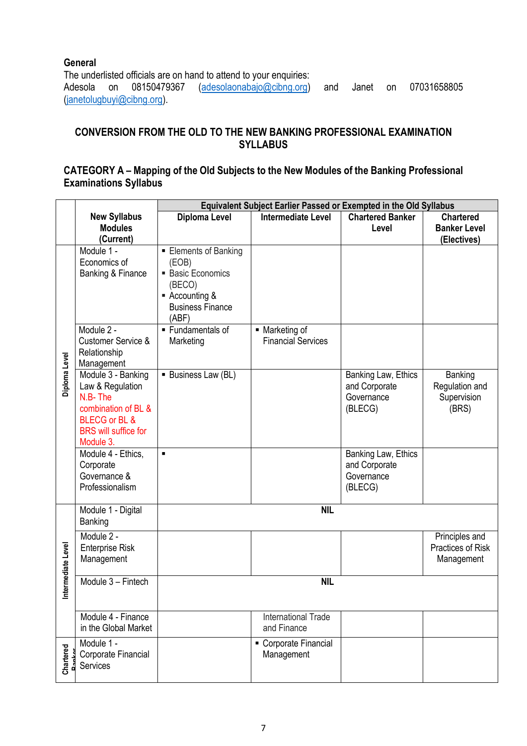#### **General**

The underlisted officials are on hand to attend to your enquiries:<br>Adesola on 08150479367 (adesolaonabajo@cibng.org) Adesola on 08150479367 [\(adesolaonabajo@cibng.org\)](mailto:adesolaonabajo@cibng.org) and Janet on 07031658805 [\(janetolugbuyi@cibng.org\)](mailto:janetolugbuyi@cibng.org).

## **CONVERSION FROM THE OLD TO THE NEW BANKING PROFESSIONAL EXAMINATION SYLLABUS**

### **CATEGORY A – Mapping of the Old Subjects to the New Modules of the Banking Professional Examinations Syllabus**

|                   |                                 | <b>Equivalent Subject Earlier Passed or Exempted in the Old Syllabus</b> |                                             |                             |                     |
|-------------------|---------------------------------|--------------------------------------------------------------------------|---------------------------------------------|-----------------------------|---------------------|
|                   | <b>New Syllabus</b>             | Diploma Level                                                            | <b>Intermediate Level</b>                   | <b>Chartered Banker</b>     | <b>Chartered</b>    |
|                   | <b>Modules</b>                  |                                                                          |                                             | Level                       | <b>Banker Level</b> |
|                   | (Current)                       |                                                                          |                                             |                             | (Electives)         |
|                   | Module 1 -                      | Elements of Banking                                                      |                                             |                             |                     |
|                   | Economics of                    | (EOB)                                                                    |                                             |                             |                     |
|                   | <b>Banking &amp; Finance</b>    | <b>Basic Economics</b>                                                   |                                             |                             |                     |
|                   |                                 | (BECO)                                                                   |                                             |                             |                     |
|                   |                                 | ■ Accounting &                                                           |                                             |                             |                     |
|                   |                                 | <b>Business Finance</b>                                                  |                                             |                             |                     |
|                   | Module 2 -                      | (ABF)<br>$\blacksquare$ Fundamentals of                                  |                                             |                             |                     |
|                   | <b>Customer Service &amp;</b>   |                                                                          | • Marketing of<br><b>Financial Services</b> |                             |                     |
|                   | Relationship                    | Marketing                                                                |                                             |                             |                     |
|                   | Management                      |                                                                          |                                             |                             |                     |
| Diploma Level     | Module 3 - Banking              | ■ Business Law (BL)                                                      |                                             | Banking Law, Ethics         | Banking             |
|                   | Law & Regulation                |                                                                          |                                             | and Corporate               | Regulation and      |
|                   | N.B-The                         |                                                                          |                                             | Governance                  | Supervision         |
|                   | combination of BL &             |                                                                          |                                             | (BLECG)                     | (BRS)               |
|                   | BLECG or BL &                   |                                                                          |                                             |                             |                     |
|                   | <b>BRS</b> will suffice for     |                                                                          |                                             |                             |                     |
|                   | Module 3.                       |                                                                          |                                             |                             |                     |
|                   | Module 4 - Ethics,              | $\blacksquare$                                                           |                                             | Banking Law, Ethics         |                     |
|                   | Corporate<br>Governance &       |                                                                          |                                             | and Corporate<br>Governance |                     |
|                   | Professionalism                 |                                                                          |                                             | (BLECG)                     |                     |
|                   |                                 |                                                                          |                                             |                             |                     |
|                   | Module 1 - Digital              |                                                                          | <b>NIL</b>                                  |                             |                     |
|                   | Banking                         |                                                                          |                                             |                             |                     |
|                   | Module 2 -                      |                                                                          |                                             |                             | Principles and      |
|                   | <b>Enterprise Risk</b>          |                                                                          |                                             |                             | Practices of Risk   |
|                   | Management                      |                                                                          |                                             |                             | Management          |
| ntermediate Level | Module 3 - Fintech              | <b>NIL</b>                                                               |                                             |                             |                     |
|                   |                                 |                                                                          |                                             |                             |                     |
|                   |                                 |                                                                          |                                             |                             |                     |
|                   | Module 4 - Finance              |                                                                          | International Trade                         |                             |                     |
|                   | in the Global Market            |                                                                          | and Finance                                 |                             |                     |
|                   | Module 1 -                      |                                                                          | Corporate Financial                         |                             |                     |
| Chartered         | Corporate Financial<br>Services |                                                                          | Management                                  |                             |                     |
|                   |                                 |                                                                          |                                             |                             |                     |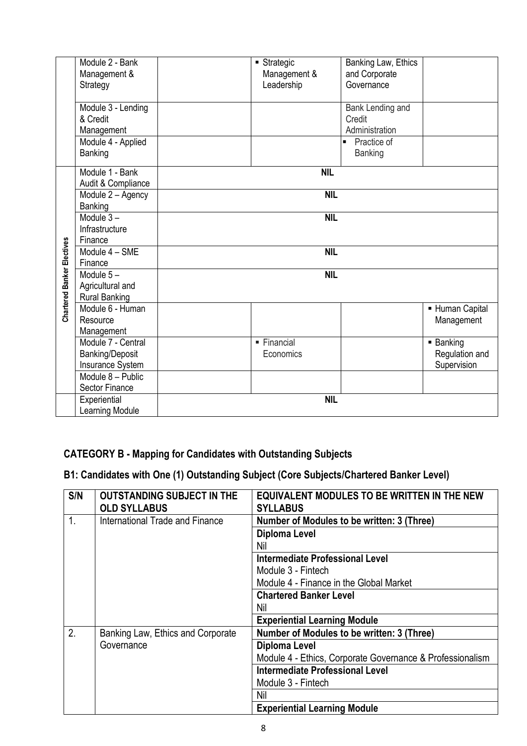|                                                      | Module 2 - Bank        | ■ Strategic                        | Banking Law, Ethics           |  |  |
|------------------------------------------------------|------------------------|------------------------------------|-------------------------------|--|--|
|                                                      | Management &           | Management &                       | and Corporate                 |  |  |
|                                                      | Strategy               | Leadership                         | Governance                    |  |  |
|                                                      |                        |                                    |                               |  |  |
|                                                      | Module 3 - Lending     |                                    | Bank Lending and              |  |  |
|                                                      | & Credit               |                                    | Credit                        |  |  |
|                                                      | Management             |                                    | Administration                |  |  |
|                                                      | Module 4 - Applied     |                                    | Practice of<br>$\blacksquare$ |  |  |
|                                                      | Banking                |                                    | <b>Banking</b>                |  |  |
|                                                      | Module 1 - Bank        | <b>NIL</b>                         |                               |  |  |
|                                                      | Audit & Compliance     |                                    |                               |  |  |
|                                                      | Module 2 - Agency      | <b>NIL</b>                         |                               |  |  |
|                                                      | Banking                |                                    |                               |  |  |
|                                                      | Module $3-$            | <b>NIL</b>                         |                               |  |  |
|                                                      | Infrastructure         |                                    |                               |  |  |
|                                                      | Finance                |                                    |                               |  |  |
|                                                      | Module 4 - SME         | <b>NIL</b>                         |                               |  |  |
| Chartered Banker Electives<br>Finance<br>Module $5-$ |                        |                                    |                               |  |  |
|                                                      |                        | <b>NIL</b>                         |                               |  |  |
|                                                      | Agricultural and       |                                    |                               |  |  |
|                                                      | <b>Rural Banking</b>   |                                    |                               |  |  |
|                                                      | Module 6 - Human       |                                    | - Human Capital               |  |  |
|                                                      | Resource               |                                    | Management                    |  |  |
|                                                      | Management             |                                    |                               |  |  |
|                                                      | Module 7 - Central     | $\overline{\phantom{a}}$ Financial | ■ Banking                     |  |  |
|                                                      | <b>Banking/Deposit</b> | Economics                          | Regulation and                |  |  |
|                                                      | Insurance System       |                                    | Supervision                   |  |  |
|                                                      | Module 8 - Public      |                                    |                               |  |  |
|                                                      | <b>Sector Finance</b>  |                                    |                               |  |  |
|                                                      | Experiential           | <b>NIL</b>                         |                               |  |  |
|                                                      | <b>Learning Module</b> |                                    |                               |  |  |

# **CATEGORY B - Mapping for Candidates with Outstanding Subjects**

**B1: Candidates with One (1) Outstanding Subject (Core Subjects/Chartered Banker Level)**

| S/N | <b>OUTSTANDING SUBJECT IN THE</b><br><b>OLD SYLLABUS</b> | <b>EQUIVALENT MODULES TO BE WRITTEN IN THE NEW</b><br><b>SYLLABUS</b> |
|-----|----------------------------------------------------------|-----------------------------------------------------------------------|
| 1.  | International Trade and Finance                          | Number of Modules to be written: 3 (Three)                            |
|     |                                                          | <b>Diploma Level</b>                                                  |
|     |                                                          | Nil                                                                   |
|     |                                                          | Intermediate Professional Level                                       |
|     |                                                          | Module 3 - Fintech                                                    |
|     |                                                          | Module 4 - Finance in the Global Market                               |
|     |                                                          | <b>Chartered Banker Level</b>                                         |
|     |                                                          | Nil                                                                   |
|     |                                                          | <b>Experiential Learning Module</b>                                   |
| 2.  | Banking Law, Ethics and Corporate                        | Number of Modules to be written: 3 (Three)                            |
|     | Governance                                               | Diploma Level                                                         |
|     |                                                          | Module 4 - Ethics, Corporate Governance & Professionalism             |
|     |                                                          | <b>Intermediate Professional Level</b>                                |
|     |                                                          | Module 3 - Fintech                                                    |
|     |                                                          | Nil                                                                   |
|     |                                                          | <b>Experiential Learning Module</b>                                   |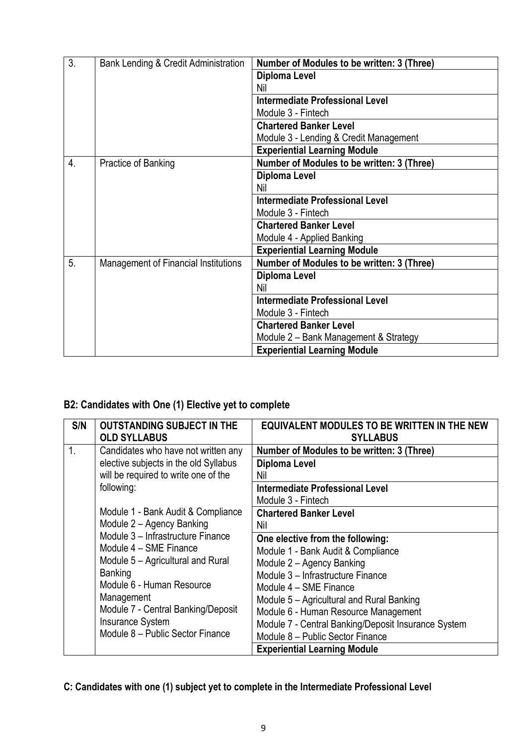| 3. | Bank Lending & Credit Administration        | Number of Modules to be written: 3 (Three) |
|----|---------------------------------------------|--------------------------------------------|
|    |                                             | <b>Diploma Level</b>                       |
|    |                                             | Nil                                        |
|    |                                             | <b>Intermediate Professional Level</b>     |
|    |                                             | Module 3 - Fintech                         |
|    |                                             | <b>Chartered Banker Level</b>              |
|    |                                             | Module 3 - Lending & Credit Management     |
|    |                                             | <b>Experiential Learning Module</b>        |
| 4. | Practice of Banking                         | Number of Modules to be written: 3 (Three) |
|    |                                             | <b>Diploma Level</b>                       |
|    |                                             | Nil                                        |
|    |                                             | <b>Intermediate Professional Level</b>     |
|    |                                             | Module 3 - Fintech                         |
|    |                                             | <b>Chartered Banker Level</b>              |
|    |                                             | Module 4 - Applied Banking                 |
|    |                                             | <b>Experiential Learning Module</b>        |
| 5. | <b>Management of Financial Institutions</b> | Number of Modules to be written: 3 (Three) |
|    |                                             | <b>Diploma Level</b>                       |
|    |                                             | Nil                                        |
|    |                                             | Intermediate Professional Level            |
|    |                                             | Module 3 - Fintech                         |
|    |                                             | <b>Chartered Banker Level</b>              |
|    |                                             | Module 2 – Bank Management & Strategy      |
|    |                                             | <b>Experiential Learning Module</b>        |

# **B2: Candidates with One (1) Elective yet to complete**

| S/N            | <b>OUTSTANDING SUBJECT IN THE</b><br><b>OLD SYLLABUS</b> | <b>EQUIVALENT MODULES TO BE WRITTEN IN THE NEW</b><br><b>SYLLABUS</b> |
|----------------|----------------------------------------------------------|-----------------------------------------------------------------------|
| $\mathbf{1}$ . | Candidates who have not written any                      | Number of Modules to be written: 3 (Three)                            |
|                | elective subjects in the old Syllabus                    | Diploma Level                                                         |
|                | will be required to write one of the                     | Nil                                                                   |
|                | following:                                               | <b>Intermediate Professional Level</b>                                |
|                |                                                          | Module 3 - Fintech                                                    |
|                | Module 1 - Bank Audit & Compliance                       | <b>Chartered Banker Level</b>                                         |
|                | Module 2 - Agency Banking                                | Nil                                                                   |
|                | Module 3 - Infrastructure Finance                        | One elective from the following:                                      |
|                | Module 4 – SME Finance                                   | Module 1 - Bank Audit & Compliance                                    |
|                | Module 5 – Agricultural and Rural                        | Module 2 - Agency Banking                                             |
|                | Banking                                                  | Module 3 - Infrastructure Finance                                     |
|                | Module 6 - Human Resource                                | Module 4 – SME Finance                                                |
|                | Management                                               | Module 5 - Agricultural and Rural Banking                             |
|                | Module 7 - Central Banking/Deposit                       | Module 6 - Human Resource Management                                  |
|                | <b>Insurance System</b>                                  | Module 7 - Central Banking/Deposit Insurance System                   |
|                | Module 8 - Public Sector Finance                         | Module 8 - Public Sector Finance                                      |
|                |                                                          | <b>Experiential Learning Module</b>                                   |

# **C: Candidates with one (1) subject yet to complete in the Intermediate Professional Level**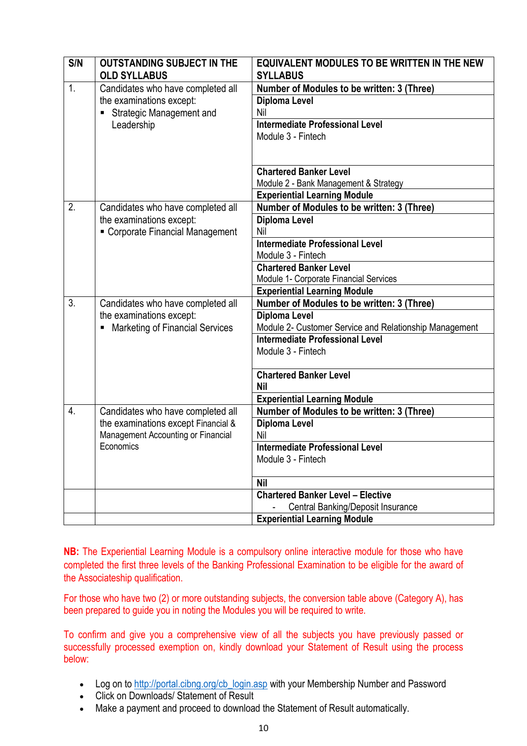| S/N | <b>OUTSTANDING SUBJECT IN THE</b><br><b>OLD SYLLABUS</b>                               | <b>EQUIVALENT MODULES TO BE WRITTEN IN THE NEW</b><br><b>SYLLABUS</b> |
|-----|----------------------------------------------------------------------------------------|-----------------------------------------------------------------------|
| 1.  | Candidates who have completed all                                                      | Number of Modules to be written: 3 (Three)                            |
|     | the examinations except:                                                               | <b>Diploma Level</b>                                                  |
|     | Strategic Management and                                                               | Nil                                                                   |
|     | Leadership                                                                             | <b>Intermediate Professional Level</b>                                |
|     |                                                                                        | Module 3 - Fintech                                                    |
|     |                                                                                        |                                                                       |
|     |                                                                                        |                                                                       |
|     |                                                                                        | <b>Chartered Banker Level</b>                                         |
|     |                                                                                        | Module 2 - Bank Management & Strategy                                 |
|     |                                                                                        | <b>Experiential Learning Module</b>                                   |
| 2.  | Candidates who have completed all                                                      | Number of Modules to be written: 3 (Three)                            |
|     | the examinations except:                                                               | <b>Diploma Level</b>                                                  |
|     | Corporate Financial Management                                                         | Nil                                                                   |
|     |                                                                                        | Intermediate Professional Level                                       |
|     |                                                                                        | Module 3 - Fintech                                                    |
|     |                                                                                        | <b>Chartered Banker Level</b>                                         |
|     |                                                                                        | Module 1- Corporate Financial Services                                |
|     |                                                                                        | <b>Experiential Learning Module</b>                                   |
| 3.  | Candidates who have completed all                                                      | Number of Modules to be written: 3 (Three)                            |
|     | the examinations except:                                                               | <b>Diploma Level</b>                                                  |
|     | <b>Marketing of Financial Services</b>                                                 | Module 2- Customer Service and Relationship Management                |
|     |                                                                                        | <b>Intermediate Professional Level</b>                                |
|     |                                                                                        | Module 3 - Fintech                                                    |
|     |                                                                                        | <b>Chartered Banker Level</b>                                         |
|     |                                                                                        | <b>Nil</b>                                                            |
|     |                                                                                        | <b>Experiential Learning Module</b>                                   |
| 4.  | Candidates who have completed all                                                      | Number of Modules to be written: 3 (Three)                            |
|     |                                                                                        | <b>Diploma Level</b>                                                  |
|     | the examinations except Financial &<br>Management Accounting or Financial<br>Economics | Nil                                                                   |
|     |                                                                                        | <b>Intermediate Professional Level</b>                                |
|     |                                                                                        | Module 3 - Fintech                                                    |
|     |                                                                                        |                                                                       |
|     |                                                                                        | <b>Nil</b>                                                            |
|     |                                                                                        | <b>Chartered Banker Level - Elective</b>                              |
|     |                                                                                        | <b>Central Banking/Deposit Insurance</b>                              |
|     |                                                                                        | <b>Experiential Learning Module</b>                                   |

**NB:** The Experiential Learning Module is a compulsory online interactive module for those who have completed the first three levels of the Banking Professional Examination to be eligible for the award of the Associateship qualification.

For those who have two (2) or more outstanding subjects, the conversion table above (Category A), has been prepared to guide you in noting the Modules you will be required to write.

To confirm and give you a comprehensive view of all the subjects you have previously passed or successfully processed exemption on, kindly download your Statement of Result using the process below:

- Log on to [http://portal.cibng.org/cb\\_login.asp](https://eur01.safelinks.protection.outlook.com/?url=http%3A%2F%2Fportal.cibng.org%2Fcb_login.asp&data=04%7C01%7CAmaka.Ojinnaka%40accessbankplc.com%7C2cfe59d18829419051b408d9274417ab%7Ccd6683a6aa8546cfaeea92d4a1477009%7C0%7C0%7C637583995678108962%7CUnknown%7CTWFpbGZsb3d8eyJWIjoiMC4wLjAwMDAiLCJQIjoiV2luMzIiLCJBTiI6Ik1haWwiLCJXVCI6Mn0%3D%7C3000&sdata=iReO4xoNLD%2Fr3pdYu%2FFUC%2FMP4WAJcyOzvgvkKnPr394%3D&reserved=0) with your Membership Number and Password
- Click on Downloads/ Statement of Result
- Make a payment and proceed to download the Statement of Result automatically.